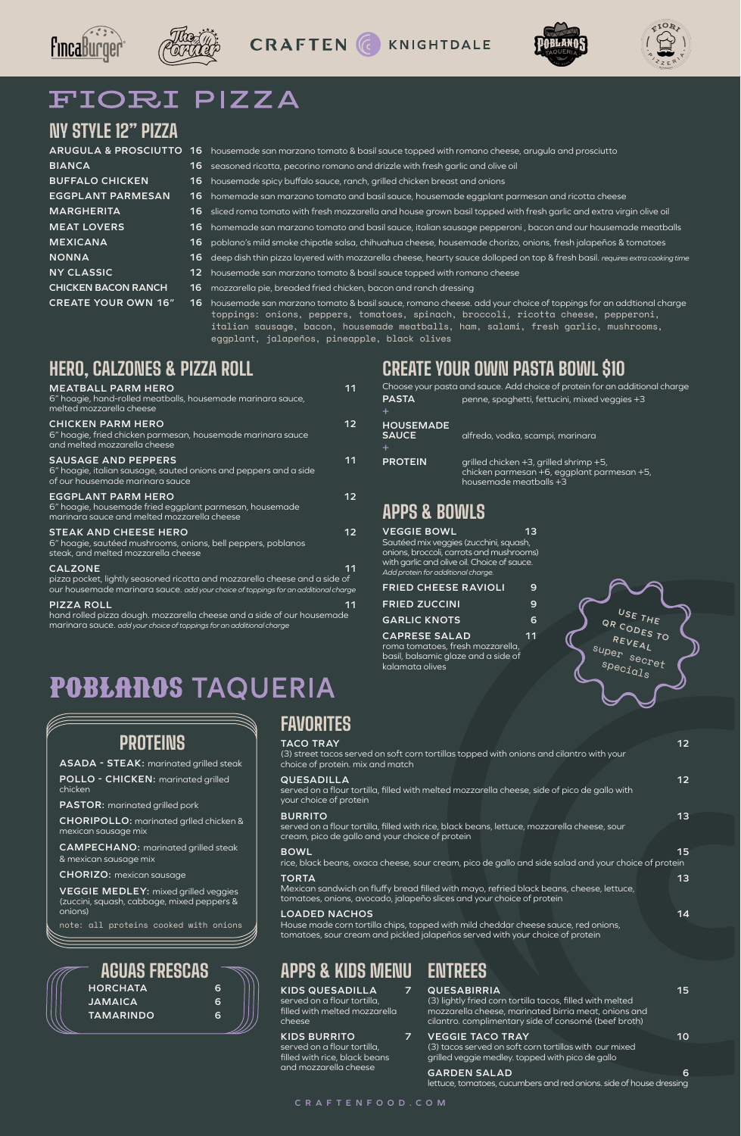







# FIORI PIZZA

#### **CRAFTENFOOD.COM**

# **NY STYLE 12" PIZZA**

| <b>ARUGULA &amp; PROSCIUTTO 16</b> |     | housemade san marzano tomato & basil sauce topped with romano cheese, arugula and prosciutto                                                                                                                                                                                               |
|------------------------------------|-----|--------------------------------------------------------------------------------------------------------------------------------------------------------------------------------------------------------------------------------------------------------------------------------------------|
| <b>BIANCA</b>                      |     | 16 seasoned ricotta, pecorino romano and drizzle with fresh garlic and olive oil                                                                                                                                                                                                           |
| <b>BUFFALO CHICKEN</b>             | 16. | housemade spicy buffalo sauce, ranch, grilled chicken breast and onions                                                                                                                                                                                                                    |
| <b>EGGPLANT PARMESAN</b>           | 16. | homemade san marzano tomato and basil sauce, housemade eggplant parmesan and ricotta cheese                                                                                                                                                                                                |
| <b>MARGHERITA</b>                  | 16. | sliced roma tomato with fresh mozzarella and house grown basil topped with fresh garlic and extra virgin olive oil                                                                                                                                                                         |
| <b>MEAT LOVERS</b>                 | 16. | homemade san marzano tomato and basil sauce, italian sausage pepperoni, bacon and our housemade meatballs                                                                                                                                                                                  |
| <b>MEXICANA</b>                    |     | 16 poblano's mild smoke chipotle salsa, chihuahua cheese, housemade chorizo, onions, fresh jalapeños & tomatoes                                                                                                                                                                            |
| <b>NONNA</b>                       |     | 16 deep dish thin pizza layered with mozzarella cheese, hearty sauce dolloped on top & fresh basil. requires extra cooking time                                                                                                                                                            |
| <b>NY CLASSIC</b>                  |     | 12 housemade san marzano tomato & basil sauce topped with romano cheese                                                                                                                                                                                                                    |
| <b>CHICKEN BACON RANCH</b>         | 16. | mozzarella pie, breaded fried chicken, bacon and ranch dressing                                                                                                                                                                                                                            |
| <b>CREATE YOUR OWN 16"</b>         | 16. | housemade san marzano tomato & basil sauce, romano cheese, add your choice of toppings for an addtional charge<br>toppings: onions, peppers, tomatoes, spinach, broccoli, ricotta cheese, pepperoni,<br>italian sausage, bacon, housemade meatballs, ham, salami, fresh garlic, mushrooms, |

eggplant, jalapeños, pineapple, black olives

# **APPS & BOWLS**

- **VEGGIE BOWL 13** Sautéed mix veggies (zucchini, squash, onions, broccoli, carrots and mushrooms) with garlic and olive oil. Choice of sauce. *Add protein for additional charge.*
- **FRIED CHEESE RAVIOLI 9**
- **FRIED ZUCCINI 9**
- **GARLIC KNOTS 6**
- **CAPRESE SALAD 11**

roma tomatoes, fresh mozzarella, basil, balsamic glaze and a side of kalamata olives

# **CREATE YOUR OWN PASTA BOWL \$10**

| Choose your pasta and sauce. Add choice of protein for an additional charge |                                                                                                                |  |
|-----------------------------------------------------------------------------|----------------------------------------------------------------------------------------------------------------|--|
| <b>PASTA</b>                                                                | penne, spaghetti, fettucini, mixed veggies +3                                                                  |  |
| ÷.                                                                          |                                                                                                                |  |
| <b>HOUSEMADE</b><br><b>SAUCE</b><br>+                                       | alfredo, vodka, scampi, marinara                                                                               |  |
| <b>PROTEIN</b>                                                              | grilled chicken +3, grilled shrimp +5,<br>chicken parmesan +6, eggplant parmesan +5,<br>housemade meatballs +3 |  |

**FAVORITES**

**TACO TRAY 12**

#### (3) street tacos served on soft corn tortillas topped with onions and cilantro with your choice of protein. mix and match

#### **QUESADILLA 12**

served on a flour tortilla, filled with melted mozzarella cheese, side of pico de gallo with your choice of protein

#### **BURRITO 13**

served on a flour tortilla, filled with rice, black beans, lettuce, mozzarella cheese, sour cream, pico de gallo and your choice of protein

#### **BOWL 15**

rice, black beans, oxaca cheese, sour cream, pico de gallo and side salad and your choice of protein

#### **TORTA 13**

Mexican sandwich on fluffy bread filled with mayo, refried black beans, cheese, lettuce, tomatoes, onions, avocado, jalapeño slices and your choice of protein

#### **LOADED NACHOS 14**

House made corn tortilla chips, topped with mild cheddar cheese sauce, red onions, tomatoes, sour cream and pickled jalapeños served with your choice of protein

**ENTREES**

#### **QUESABIRRIA 15**

(3) lightly fried corn tortilla tacos, filled with melted mozzarella cheese, marinated birria meat, onions and cilantro. complimentary side of consomé (beef broth)

## **VEGGIE TACO TRAY 10**

(3) tacos served on soft corn tortillas with our mixed grilled veggie medley. topped with pico de gallo

## **GARDEN SALAD 6**

lettuce, tomatoes, cucumbers and red onions. side of house dressing

# **APPS & KIDS MENU**

**KIDS QUESADILLA 7**

served on a flour tortilla, filled with melted mozzarella cheese

## **KIDS BURRITO 7**

served on a flour tortilla, filled with rice, black beans and mozzarella cheese

# **PROTEINS**

**ASADA - STEAK:** marinated grilled steak

**POLLO - CHICKEN:** marinated grilled chicken

**PASTOR:** marinated grilled pork

**CHORIPOLLO:** marinated grlled chicken &

mexican sausage mix

**CAMPECHANO:** marinated grilled steak & mexican sausage mix

**CHORIZO:** mexican sausage

**VEGGIE MEDLEY:** mixed grilled veggies (zuccini, squash, cabbage, mixed peppers & onions)

note: all proteins cooked with onions

| <b>AGUAS FRESCAS</b> |   |
|----------------------|---|
| <b>HORCHATA</b>      | 6 |
| <b>JAMAICA</b>       | 6 |
| <b>TAMARINDO</b>     | 6 |
|                      |   |



# **HERO, CALZONES & PIZZA ROLL**

| <b>MEATBALL PARM HERO</b><br>6" hoagie, hand-rolled meatballs, housemade marinara sauce,<br>melted mozzarella cheese                | 11 |
|-------------------------------------------------------------------------------------------------------------------------------------|----|
| <b>CHICKEN PARM HERO</b><br>6" hoagie, fried chicken parmesan, housemade marinara sauce<br>and melted mozzarella cheese             | 12 |
| <b>SAUSAGE AND PEPPERS</b><br>6" hoagie, italian sausage, sauted onions and peppers and a side<br>of our housemade marinara sauce   | 11 |
| <b>EGGPLANT PARM HERO</b><br>6" hoagie, housemade fried eggplant parmesan, housemade<br>marinara sauce and melted mozzarella cheese | 12 |
| <b>STEAK AND CHEESE HERO</b><br>6" hoagie, sautéed mushrooms, onions, bell peppers, poblanos<br>steak, and melted mozzarella cheese | 12 |
| <b>CALZONE</b>                                                                                                                      |    |

pizza pocket, lightly seasoned ricotta and mozzarella cheese and a side of our housemade marinara sauce. *add your choice of toppings for an additional charge*

| <b>PIZZA ROLL</b>                                                                   | 11 |
|-------------------------------------------------------------------------------------|----|
| hand rolled pizza dough. mozzarella cheese and a side of our housemade <sup>1</sup> |    |

marinara sauce. *add your choice of toppings for an additional charge*

**POBLAROS TAQUERIA**